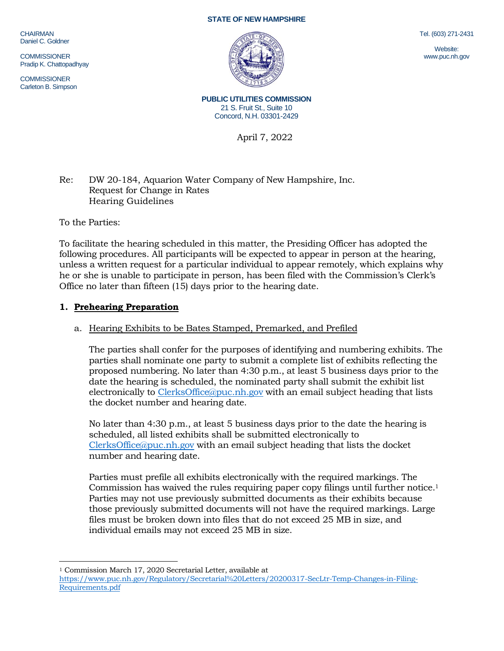CHAIRMAN Daniel C. Goldner

**COMMISSIONER** Pradip K. Chattopadhyay

**COMMISSIONER** Carleton B. Simpson

#### **STATE OF NEW HAMPSHIRE**



Tel. (603) 271-2431

Website: www.puc.nh.gov

**PUBLIC UTILITIES COMMISSION** 21 S. Fruit St., Suite 10 Concord, N.H. 03301-2429

April 7, 2022

# Re: DW 20-184, Aquarion Water Company of New Hampshire, Inc. Request for Change in Rates Hearing Guidelines

To the Parties:

To facilitate the hearing scheduled in this matter, the Presiding Officer has adopted the following procedures. All participants will be expected to appear in person at the hearing, unless a written request for a particular individual to appear remotely, which explains why he or she is unable to participate in person, has been filed with the Commission's Clerk's Office no later than fifteen (15) days prior to the hearing date.

# **1. Prehearing Preparation**

# a. Hearing Exhibits to be Bates Stamped, Premarked, and Prefiled

The parties shall confer for the purposes of identifying and numbering exhibits. The parties shall nominate one party to submit a complete list of exhibits reflecting the proposed numbering. No later than 4:30 p.m., at least 5 business days prior to the date the hearing is scheduled, the nominated party shall submit the exhibit list electronically to [ClerksOffice@puc.nh.gov](mailto:ClerksOffice@puc.nh.gov) with an email subject heading that lists the docket number and hearing date.

No later than 4:30 p.m., at least 5 business days prior to the date the hearing is scheduled, all listed exhibits shall be submitted electronically to [ClerksOffice@puc.nh.gov](mailto:Clerks.Office@puc.nh.gov) with an email subject heading that lists the docket number and hearing date.

Parties must prefile all exhibits electronically with the required markings. The Commission has waived the rules requiring paper copy filings until further notice. 1 Parties may not use previously submitted documents as their exhibits because those previously submitted documents will not have the required markings. Large files must be broken down into files that do not exceed 25 MB in size, and individual emails may not exceed 25 MB in size.

<sup>1</sup> Commission March 17, 2020 Secretarial Letter, available at [https://www.puc.nh.gov/Regulatory/Secretarial%20Letters/20200317-SecLtr-Temp-Changes-in-Filing-](https://www.puc.nh.gov/Regulatory/Secretarial%20Letters/20200317-SecLtr-Temp-Changes-in-Filing-Requirements.pdf)[Requirements.pdf](https://www.puc.nh.gov/Regulatory/Secretarial%20Letters/20200317-SecLtr-Temp-Changes-in-Filing-Requirements.pdf)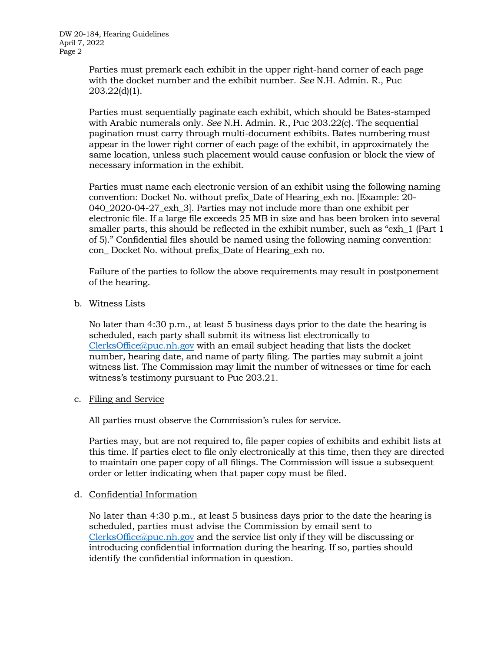DW 20-184, Hearing Guidelines April 7, 2022 Page 2

> Parties must premark each exhibit in the upper right-hand corner of each page with the docket number and the exhibit number. *See* N.H. Admin. R., Puc 203.22(d)(1).

Parties must sequentially paginate each exhibit, which should be Bates-stamped with Arabic numerals only. *See* N.H. Admin. R., Puc 203.22(c). The sequential pagination must carry through multi-document exhibits. Bates numbering must appear in the lower right corner of each page of the exhibit, in approximately the same location, unless such placement would cause confusion or block the view of necessary information in the exhibit.

Parties must name each electronic version of an exhibit using the following naming convention: Docket No. without prefix\_Date of Hearing\_exh no. [Example: 20- 040\_2020-04-27\_exh\_3]. Parties may not include more than one exhibit per electronic file. If a large file exceeds 25 MB in size and has been broken into several smaller parts, this should be reflected in the exhibit number, such as "exh\_1 (Part 1 of 5)." Confidential files should be named using the following naming convention: con\_ Docket No. without prefix\_Date of Hearing\_exh no.

Failure of the parties to follow the above requirements may result in postponement of the hearing.

b. Witness Lists

No later than 4:30 p.m., at least 5 business days prior to the date the hearing is scheduled, each party shall submit its witness list electronically to [ClerksOffice@puc.nh.gov](mailto:Clerks.Office@puc.nh.gov) with an email subject heading that lists the docket number, hearing date, and name of party filing. The parties may submit a joint witness list. The Commission may limit the number of witnesses or time for each witness's testimony pursuant to Puc 203.21.

c. Filing and Service

All parties must observe the Commission's rules for service.

Parties may, but are not required to, file paper copies of exhibits and exhibit lists at this time. If parties elect to file only electronically at this time, then they are directed to maintain one paper copy of all filings. The Commission will issue a subsequent order or letter indicating when that paper copy must be filed.

d. Confidential Information

No later than 4:30 p.m., at least 5 business days prior to the date the hearing is scheduled, parties must advise the Commission by email sent to [ClerksOffice@puc.nh.gov](mailto:Clerks.Office@puc.nh.gov) and the service list only if they will be discussing or introducing confidential information during the hearing. If so, parties should identify the confidential information in question.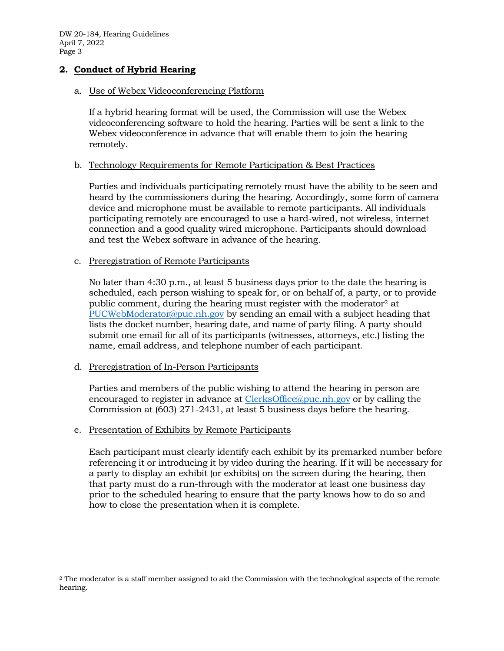DW 20-184, Hearing Guidelines April 7, 2022 Page 3

# **2. Conduct of Hybrid Hearing**

#### a. Use of Webex Videoconferencing Platform

If a hybrid hearing format will be used, the Commission will use the Webex videoconferencing software to hold the hearing. Parties will be sent a link to the Webex videoconference in advance that will enable them to join the hearing remotely.

### b. Technology Requirements for Remote Participation & Best Practices

Parties and individuals participating remotely must have the ability to be seen and heard by the commissioners during the hearing. Accordingly, some form of camera device and microphone must be available to remote participants. All individuals participating remotely are encouraged to use a hard-wired, not wireless, internet connection and a good quality wired microphone. Participants should download and test the Webex software in advance of the hearing.

#### c. Preregistration of Remote Participants

No later than 4:30 p.m., at least 5 business days prior to the date the hearing is scheduled, each person wishing to speak for, or on behalf of, a party, or to provide public comment, during the hearing must register with the moderator<sup>2</sup> at [PUCWebModerator@puc.nh.gov](mailto:PUCWebModerator@puc.nh.gov) by sending an email with a subject heading that lists the docket number, hearing date, and name of party filing. A party should submit one email for all of its participants (witnesses, attorneys, etc.) listing the name, email address, and telephone number of each participant.

### d. Preregistration of In-Person Participants

Parties and members of the public wishing to attend the hearing in person are encouraged to register in advance at [ClerksOffice@puc.nh.gov](mailto:Clerks.Office@puc.nh.gov) or by calling the Commission at (603) 271-2431, at least 5 business days before the hearing.

### e. Presentation of Exhibits by Remote Participants

Each participant must clearly identify each exhibit by its premarked number before referencing it or introducing it by video during the hearing. If it will be necessary for a party to display an exhibit (or exhibits) on the screen during the hearing, then that party must do a run-through with the moderator at least one business day prior to the scheduled hearing to ensure that the party knows how to do so and how to close the presentation when it is complete.

<sup>2</sup> The moderator is a staff member assigned to aid the Commission with the technological aspects of the remote hearing.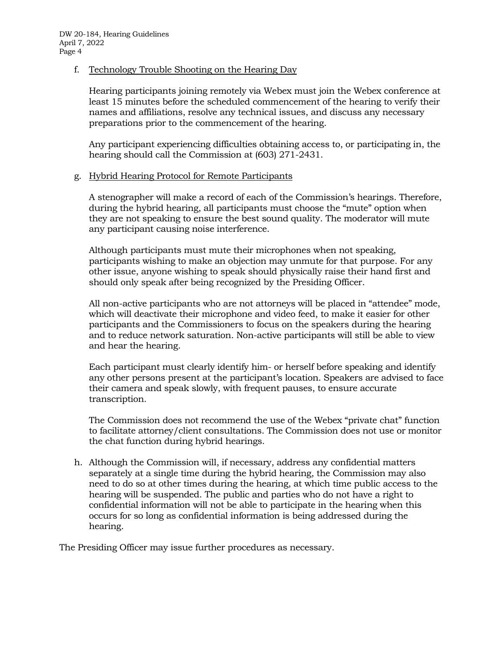## f. Technology Trouble Shooting on the Hearing Day

Hearing participants joining remotely via Webex must join the Webex conference at least 15 minutes before the scheduled commencement of the hearing to verify their names and affiliations, resolve any technical issues, and discuss any necessary preparations prior to the commencement of the hearing.

Any participant experiencing difficulties obtaining access to, or participating in, the hearing should call the Commission at (603) 271-2431.

# g. Hybrid Hearing Protocol for Remote Participants

A stenographer will make a record of each of the Commission's hearings. Therefore, during the hybrid hearing, all participants must choose the "mute" option when they are not speaking to ensure the best sound quality. The moderator will mute any participant causing noise interference.

Although participants must mute their microphones when not speaking, participants wishing to make an objection may unmute for that purpose. For any other issue, anyone wishing to speak should physically raise their hand first and should only speak after being recognized by the Presiding Officer.

All non-active participants who are not attorneys will be placed in "attendee" mode, which will deactivate their microphone and video feed, to make it easier for other participants and the Commissioners to focus on the speakers during the hearing and to reduce network saturation. Non-active participants will still be able to view and hear the hearing.

Each participant must clearly identify him- or herself before speaking and identify any other persons present at the participant's location. Speakers are advised to face their camera and speak slowly, with frequent pauses, to ensure accurate transcription.

The Commission does not recommend the use of the Webex "private chat" function to facilitate attorney/client consultations. The Commission does not use or monitor the chat function during hybrid hearings.

h. Although the Commission will, if necessary, address any confidential matters separately at a single time during the hybrid hearing, the Commission may also need to do so at other times during the hearing, at which time public access to the hearing will be suspended. The public and parties who do not have a right to confidential information will not be able to participate in the hearing when this occurs for so long as confidential information is being addressed during the hearing.

The Presiding Officer may issue further procedures as necessary.